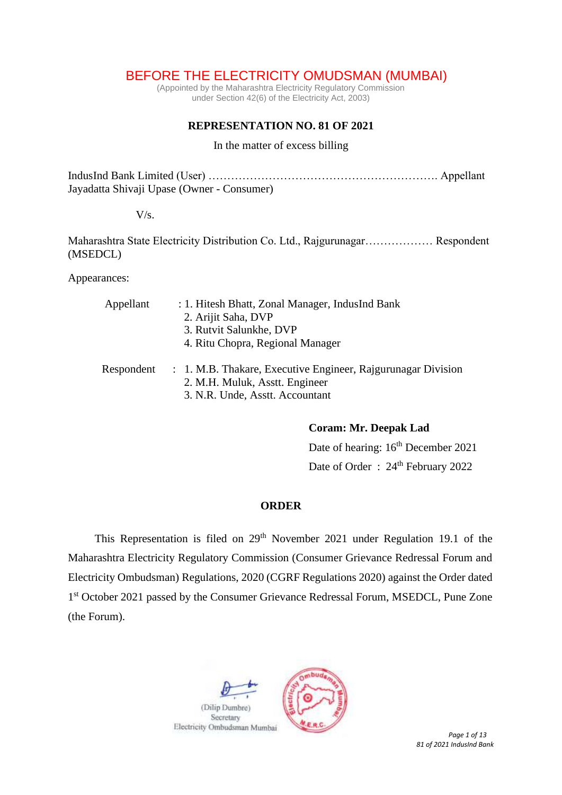# BEFORE THE ELECTRICITY OMUDSMAN (MUMBAI)

(Appointed by the Maharashtra Electricity Regulatory Commission under Section 42(6) of the Electricity Act, 2003)

## **REPRESENTATION NO. 81 OF 2021**

#### In the matter of excess billing

IndusInd Bank Limited (User) ……………………………………………………. Appellant Jayadatta Shivaji Upase (Owner - Consumer)

## $V/s$ .

Maharashtra State Electricity Distribution Co. Ltd., Rajgurunagar……………… Respondent (MSEDCL)

Appearances:

| Appellant  | : 1. Hitesh Bhatt, Zonal Manager, IndusInd Bank              |
|------------|--------------------------------------------------------------|
|            | 2. Arijit Saha, DVP                                          |
|            | 3. Rutvit Salunkhe, DVP                                      |
|            | 4. Ritu Chopra, Regional Manager                             |
| Respondent | : 1. M.B. Thakare, Executive Engineer, Rajgurunagar Division |
|            | 2. M.H. Muluk, Asstt. Engineer                               |
|            | 3. N.R. Unde, Asstt. Accountant                              |

**Coram: Mr. Deepak Lad**

Date of hearing:  $16<sup>th</sup>$  December 2021 Date of Order: 24<sup>th</sup> February 2022

### **ORDER**

This Representation is filed on  $29<sup>th</sup>$  November 2021 under Regulation 19.1 of the Maharashtra Electricity Regulatory Commission (Consumer Grievance Redressal Forum and Electricity Ombudsman) Regulations, 2020 (CGRF Regulations 2020) against the Order dated 1<sup>st</sup> October 2021 passed by the Consumer Grievance Redressal Forum, MSEDCL, Pune Zone (the Forum).



*81 of 2021 IndusInd Bank*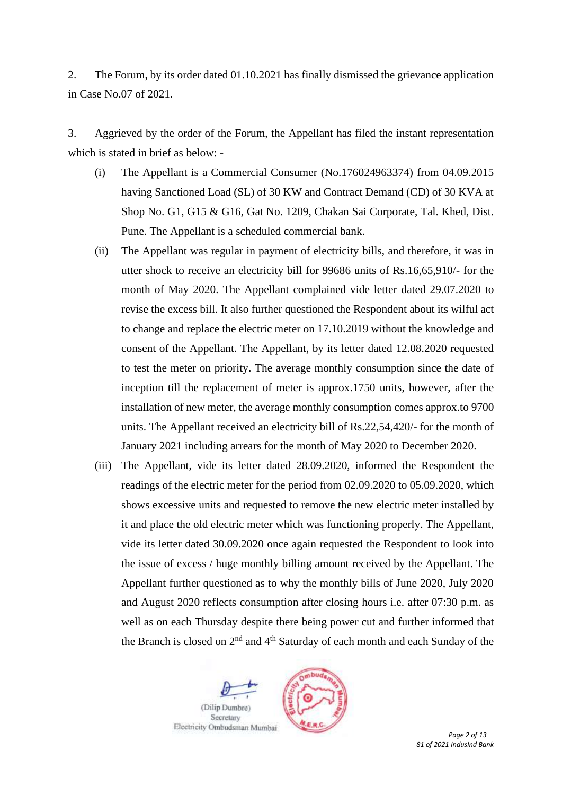2. The Forum, by its order dated 01.10.2021 has finally dismissed the grievance application in Case No.07 of 2021.

3. Aggrieved by the order of the Forum, the Appellant has filed the instant representation which is stated in brief as below: -

- (i) The Appellant is a Commercial Consumer (No.176024963374) from 04.09.2015 having Sanctioned Load (SL) of 30 KW and Contract Demand (CD) of 30 KVA at Shop No. G1, G15 & G16, Gat No. 1209, Chakan Sai Corporate, Tal. Khed, Dist. Pune. The Appellant is a scheduled commercial bank.
- (ii) The Appellant was regular in payment of electricity bills, and therefore, it was in utter shock to receive an electricity bill for 99686 units of Rs.16,65,910/- for the month of May 2020. The Appellant complained vide letter dated 29.07.2020 to revise the excess bill. It also further questioned the Respondent about its wilful act to change and replace the electric meter on 17.10.2019 without the knowledge and consent of the Appellant. The Appellant, by its letter dated 12.08.2020 requested to test the meter on priority. The average monthly consumption since the date of inception till the replacement of meter is approx.1750 units, however, after the installation of new meter, the average monthly consumption comes approx.to 9700 units. The Appellant received an electricity bill of Rs.22,54,420/- for the month of January 2021 including arrears for the month of May 2020 to December 2020.
- (iii) The Appellant, vide its letter dated 28.09.2020, informed the Respondent the readings of the electric meter for the period from 02.09.2020 to 05.09.2020, which shows excessive units and requested to remove the new electric meter installed by it and place the old electric meter which was functioning properly. The Appellant, vide its letter dated 30.09.2020 once again requested the Respondent to look into the issue of excess / huge monthly billing amount received by the Appellant. The Appellant further questioned as to why the monthly bills of June 2020, July 2020 and August 2020 reflects consumption after closing hours i.e. after 07:30 p.m. as well as on each Thursday despite there being power cut and further informed that the Branch is closed on  $2<sup>nd</sup>$  and  $4<sup>th</sup>$  Saturday of each month and each Sunday of the

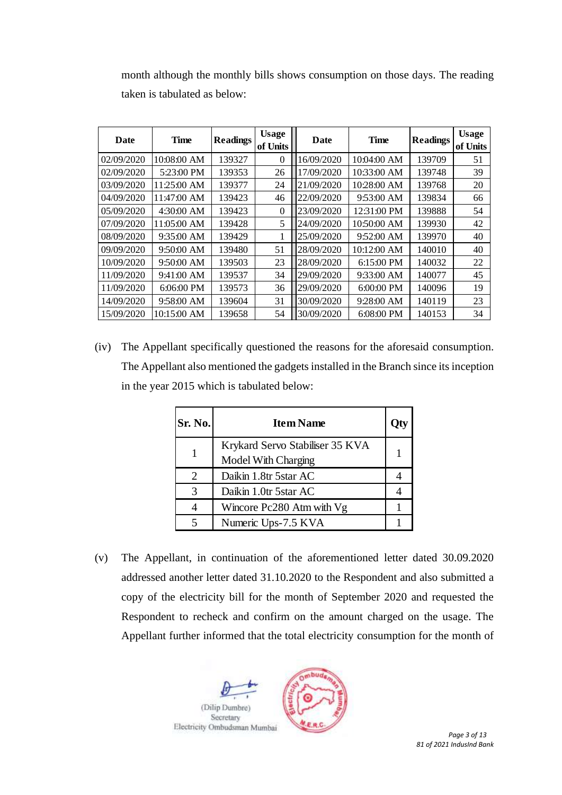month although the monthly bills shows consumption on those days. The reading taken is tabulated as below:

| Date       | <b>Time</b> | <b>Readings</b> | <b>Usage</b><br>of Units | Date       | <b>Time</b> | <b>Readings</b> | <b>Usage</b><br>of Units |
|------------|-------------|-----------------|--------------------------|------------|-------------|-----------------|--------------------------|
| 02/09/2020 | 10:08:00 AM | 139327          | $\theta$                 | 16/09/2020 | 10:04:00 AM | 139709          | 51                       |
| 02/09/2020 | 5:23:00 PM  | 139353          | 26                       | 17/09/2020 | 10:33:00 AM | 139748          | 39                       |
| 03/09/2020 | 11:25:00 AM | 139377          | 24                       | 21/09/2020 | 10:28:00 AM | 139768          | 20                       |
| 04/09/2020 | 11:47:00 AM | 139423          | 46                       | 22/09/2020 | 9:53:00 AM  | 139834          | 66                       |
| 05/09/2020 | 4:30:00 AM  | 139423          | $\Omega$                 | 23/09/2020 | 12:31:00 PM | 139888          | 54                       |
| 07/09/2020 | 11:05:00 AM | 139428          | 5                        | 24/09/2020 | 10:50:00 AM | 139930          | 42                       |
| 08/09/2020 | 9:35:00 AM  | 139429          |                          | 25/09/2020 | 9:52:00 AM  | 139970          | 40                       |
| 09/09/2020 | 9:50:00 AM  | 139480          | 51                       | 28/09/2020 | 10:12:00 AM | 140010          | 40                       |
| 10/09/2020 | 9:50:00 AM  | 139503          | 23                       | 28/09/2020 | 6:15:00 PM  | 140032          | 22                       |
| 11/09/2020 | 9:41:00 AM  | 139537          | 34                       | 29/09/2020 | 9:33:00 AM  | 140077          | 45                       |
| 11/09/2020 | 6:06:00 PM  | 139573          | 36                       | 29/09/2020 | 6:00:00 PM  | 140096          | 19                       |
| 14/09/2020 | 9:58:00 AM  | 139604          | 31                       | 30/09/2020 | 9:28:00 AM  | 140119          | 23                       |
| 15/09/2020 | 10:15:00 AM | 139658          | 54                       | 30/09/2020 | 6:08:00 PM  | 140153          | 34                       |

(iv) The Appellant specifically questioned the reasons for the aforesaid consumption. The Appellant also mentioned the gadgets installed in the Branch since its inception in the year 2015 which is tabulated below:

| Sr. No. | <b>Item Name</b>                                       |  |
|---------|--------------------------------------------------------|--|
|         | Krykard Servo Stabiliser 35 KVA<br>Model With Charging |  |
| 2       | Daikin 1.8tr 5star AC                                  |  |
| 3       | Daikin 1.0tr 5star AC                                  |  |
| 4       | Wincore Pc280 Atm with Vg                              |  |
| 5       | Numeric Ups-7.5 KVA                                    |  |

(v) The Appellant, in continuation of the aforementioned letter dated 30.09.2020 addressed another letter dated 31.10.2020 to the Respondent and also submitted a copy of the electricity bill for the month of September 2020 and requested the Respondent to recheck and confirm on the amount charged on the usage. The Appellant further informed that the total electricity consumption for the month of

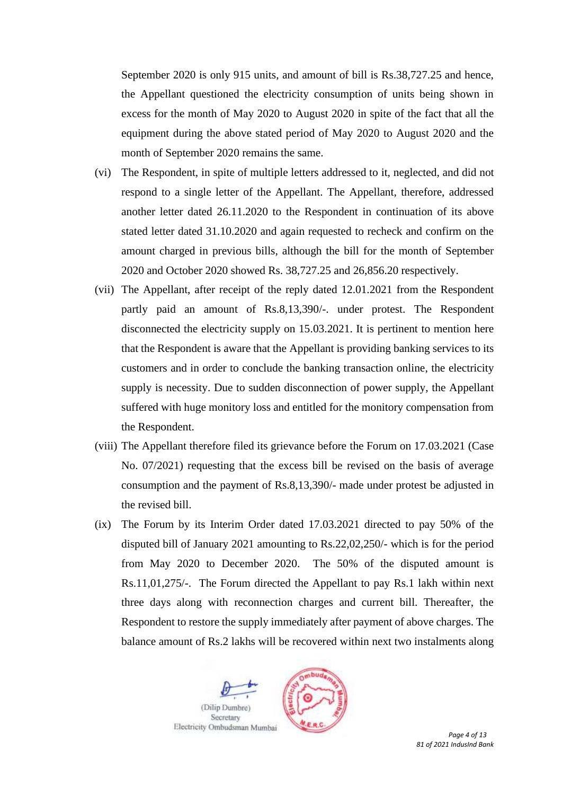September 2020 is only 915 units, and amount of bill is Rs.38,727.25 and hence, the Appellant questioned the electricity consumption of units being shown in excess for the month of May 2020 to August 2020 in spite of the fact that all the equipment during the above stated period of May 2020 to August 2020 and the month of September 2020 remains the same.

- (vi) The Respondent, in spite of multiple letters addressed to it, neglected, and did not respond to a single letter of the Appellant. The Appellant, therefore, addressed another letter dated 26.11.2020 to the Respondent in continuation of its above stated letter dated 31.10.2020 and again requested to recheck and confirm on the amount charged in previous bills, although the bill for the month of September 2020 and October 2020 showed Rs. 38,727.25 and 26,856.20 respectively.
- (vii) The Appellant, after receipt of the reply dated 12.01.2021 from the Respondent partly paid an amount of Rs.8,13,390/-. under protest. The Respondent disconnected the electricity supply on 15.03.2021. It is pertinent to mention here that the Respondent is aware that the Appellant is providing banking services to its customers and in order to conclude the banking transaction online, the electricity supply is necessity. Due to sudden disconnection of power supply, the Appellant suffered with huge monitory loss and entitled for the monitory compensation from the Respondent.
- (viii) The Appellant therefore filed its grievance before the Forum on 17.03.2021 (Case No. 07/2021) requesting that the excess bill be revised on the basis of average consumption and the payment of Rs.8,13,390/- made under protest be adjusted in the revised bill.
- (ix) The Forum by its Interim Order dated 17.03.2021 directed to pay 50% of the disputed bill of January 2021 amounting to Rs.22,02,250/- which is for the period from May 2020 to December 2020. The 50% of the disputed amount is Rs.11,01,275/-. The Forum directed the Appellant to pay Rs.1 lakh within next three days along with reconnection charges and current bill. Thereafter, the Respondent to restore the supply immediately after payment of above charges. The balance amount of Rs.2 lakhs will be recovered within next two instalments along

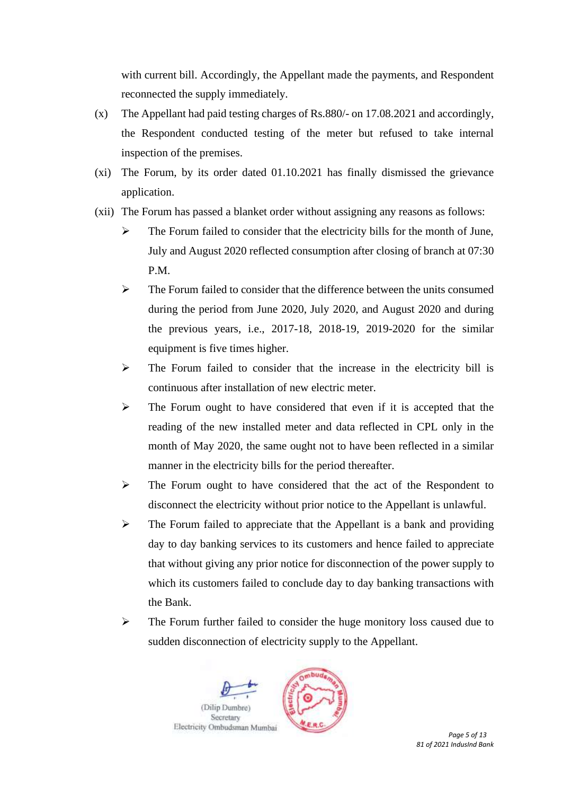with current bill. Accordingly, the Appellant made the payments, and Respondent reconnected the supply immediately.

- (x) The Appellant had paid testing charges of Rs.880/- on 17.08.2021 and accordingly, the Respondent conducted testing of the meter but refused to take internal inspection of the premises.
- (xi) The Forum, by its order dated 01.10.2021 has finally dismissed the grievance application.
- (xii) The Forum has passed a blanket order without assigning any reasons as follows:
	- ➢ The Forum failed to consider that the electricity bills for the month of June, July and August 2020 reflected consumption after closing of branch at 07:30 P.M.
	- $\triangleright$  The Forum failed to consider that the difference between the units consumed during the period from June 2020, July 2020, and August 2020 and during the previous years, i.e., 2017-18, 2018-19, 2019-2020 for the similar equipment is five times higher.
	- ➢ The Forum failed to consider that the increase in the electricity bill is continuous after installation of new electric meter.
	- ➢ The Forum ought to have considered that even if it is accepted that the reading of the new installed meter and data reflected in CPL only in the month of May 2020, the same ought not to have been reflected in a similar manner in the electricity bills for the period thereafter.
	- ➢ The Forum ought to have considered that the act of the Respondent to disconnect the electricity without prior notice to the Appellant is unlawful.
	- ➢ The Forum failed to appreciate that the Appellant is a bank and providing day to day banking services to its customers and hence failed to appreciate that without giving any prior notice for disconnection of the power supply to which its customers failed to conclude day to day banking transactions with the Bank.
	- ➢ The Forum further failed to consider the huge monitory loss caused due to sudden disconnection of electricity supply to the Appellant.

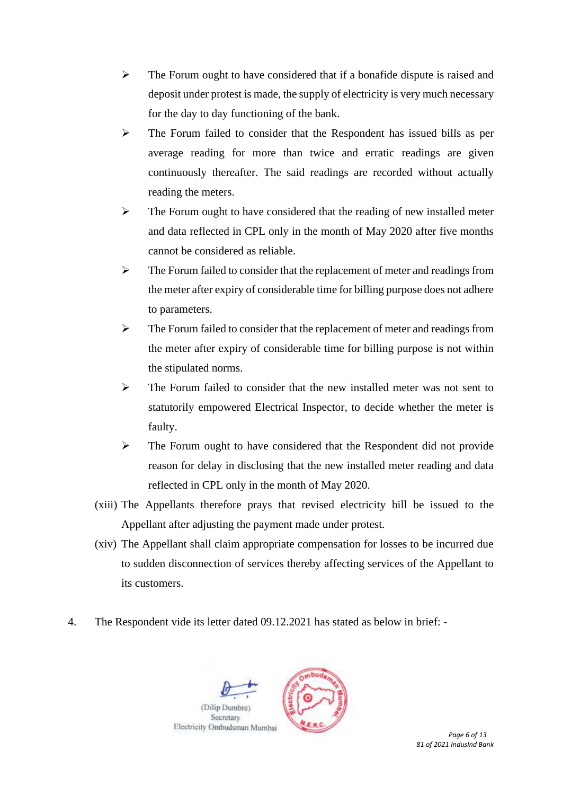- $\triangleright$  The Forum ought to have considered that if a bonafide dispute is raised and deposit under protest is made, the supply of electricity is very much necessary for the day to day functioning of the bank.
- ➢ The Forum failed to consider that the Respondent has issued bills as per average reading for more than twice and erratic readings are given continuously thereafter. The said readings are recorded without actually reading the meters.
- $\triangleright$  The Forum ought to have considered that the reading of new installed meter and data reflected in CPL only in the month of May 2020 after five months cannot be considered as reliable.
- ➢ The Forum failed to consider that the replacement of meter and readings from the meter after expiry of considerable time for billing purpose does not adhere to parameters.
- ➢ The Forum failed to consider that the replacement of meter and readings from the meter after expiry of considerable time for billing purpose is not within the stipulated norms.
- ➢ The Forum failed to consider that the new installed meter was not sent to statutorily empowered Electrical Inspector, to decide whether the meter is faulty.
- ➢ The Forum ought to have considered that the Respondent did not provide reason for delay in disclosing that the new installed meter reading and data reflected in CPL only in the month of May 2020.
- (xiii) The Appellants therefore prays that revised electricity bill be issued to the Appellant after adjusting the payment made under protest.
- (xiv) The Appellant shall claim appropriate compensation for losses to be incurred due to sudden disconnection of services thereby affecting services of the Appellant to its customers.
- 4. The Respondent vide its letter dated 09.12.2021 has stated as below in brief: -

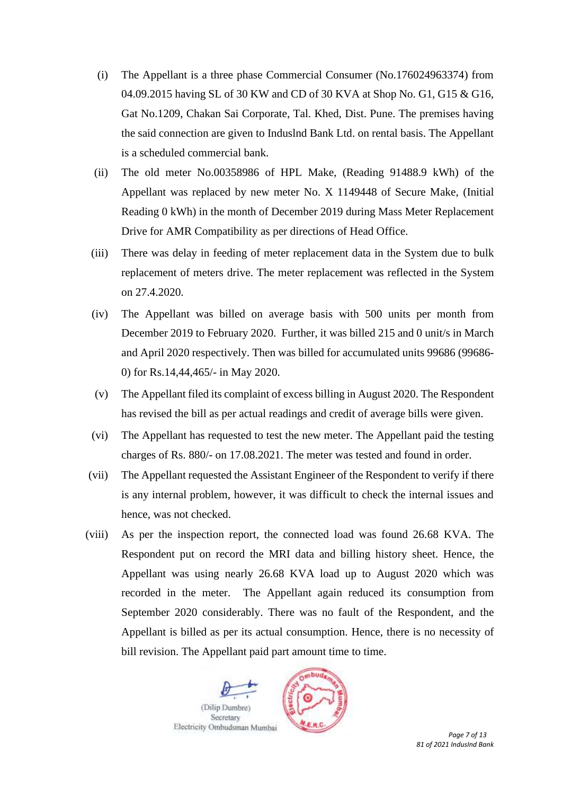- (i) The Appellant is a three phase Commercial Consumer (No.176024963374) from 04.09.2015 having SL of 30 KW and CD of 30 KVA at Shop No. G1, G15 & G16, Gat No.1209, Chakan Sai Corporate, Tal. Khed, Dist. Pune. The premises having the said connection are given to Induslnd Bank Ltd. on rental basis. The Appellant is a scheduled commercial bank.
- (ii) The old meter No.00358986 of HPL Make, (Reading 91488.9 kWh) of the Appellant was replaced by new meter No. X 1149448 of Secure Make, (Initial Reading 0 kWh) in the month of December 2019 during Mass Meter Replacement Drive for AMR Compatibility as per directions of Head Office.
- (iii) There was delay in feeding of meter replacement data in the System due to bulk replacement of meters drive. The meter replacement was reflected in the System on 27.4.2020.
- (iv) The Appellant was billed on average basis with 500 units per month from December 2019 to February 2020. Further, it was billed 215 and 0 unit/s in March and April 2020 respectively. Then was billed for accumulated units 99686 (99686- 0) for Rs.14,44,465/- in May 2020.
- (v) The Appellant filed its complaint of excess billing in August 2020. The Respondent has revised the bill as per actual readings and credit of average bills were given.
- (vi) The Appellant has requested to test the new meter. The Appellant paid the testing charges of Rs. 880/- on 17.08.2021. The meter was tested and found in order.
- (vii) The Appellant requested the Assistant Engineer of the Respondent to verify if there is any internal problem, however, it was difficult to check the internal issues and hence, was not checked.
- (viii) As per the inspection report, the connected load was found 26.68 KVA. The Respondent put on record the MRI data and billing history sheet. Hence, the Appellant was using nearly 26.68 KVA load up to August 2020 which was recorded in the meter. The Appellant again reduced its consumption from September 2020 considerably. There was no fault of the Respondent, and the Appellant is billed as per its actual consumption. Hence, there is no necessity of bill revision. The Appellant paid part amount time to time.

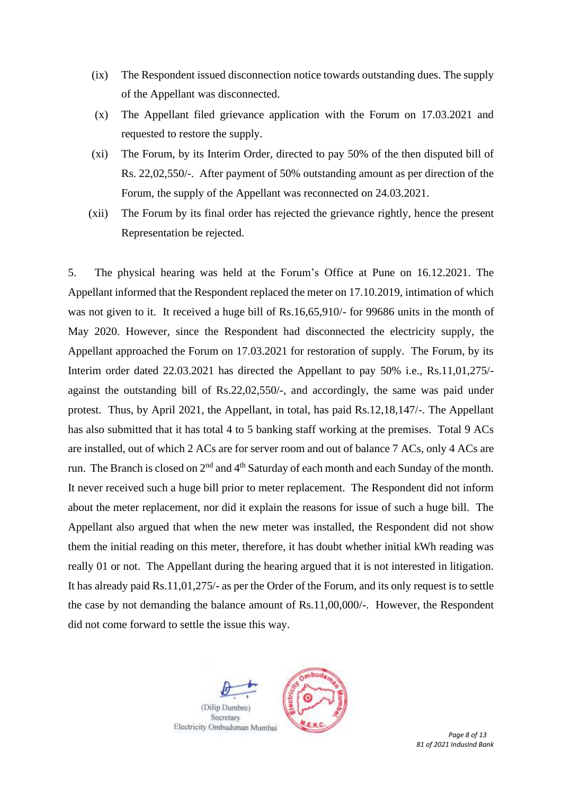- (ix) The Respondent issued disconnection notice towards outstanding dues. The supply of the Appellant was disconnected.
- (x) The Appellant filed grievance application with the Forum on 17.03.2021 and requested to restore the supply.
- (xi) The Forum, by its Interim Order, directed to pay 50% of the then disputed bill of Rs. 22,02,550/-. After payment of 50% outstanding amount as per direction of the Forum, the supply of the Appellant was reconnected on 24.03.2021.
- (xii) The Forum by its final order has rejected the grievance rightly, hence the present Representation be rejected.

5. The physical hearing was held at the Forum's Office at Pune on 16.12.2021. The Appellant informed that the Respondent replaced the meter on 17.10.2019, intimation of which was not given to it. It received a huge bill of Rs.16,65,910/- for 99686 units in the month of May 2020. However, since the Respondent had disconnected the electricity supply, the Appellant approached the Forum on 17.03.2021 for restoration of supply. The Forum, by its Interim order dated 22.03.2021 has directed the Appellant to pay 50% i.e., Rs.11,01,275/ against the outstanding bill of Rs.22,02,550/-, and accordingly, the same was paid under protest. Thus, by April 2021, the Appellant, in total, has paid Rs.12,18,147/-. The Appellant has also submitted that it has total 4 to 5 banking staff working at the premises. Total 9 ACs are installed, out of which 2 ACs are for server room and out of balance 7 ACs, only 4 ACs are run. The Branch is closed on 2<sup>nd</sup> and 4<sup>th</sup> Saturday of each month and each Sunday of the month. It never received such a huge bill prior to meter replacement. The Respondent did not inform about the meter replacement, nor did it explain the reasons for issue of such a huge bill. The Appellant also argued that when the new meter was installed, the Respondent did not show them the initial reading on this meter, therefore, it has doubt whether initial kWh reading was really 01 or not. The Appellant during the hearing argued that it is not interested in litigation. It has already paid Rs.11,01,275/- as per the Order of the Forum, and its only request is to settle the case by not demanding the balance amount of Rs.11,00,000/-. However, the Respondent did not come forward to settle the issue this way.

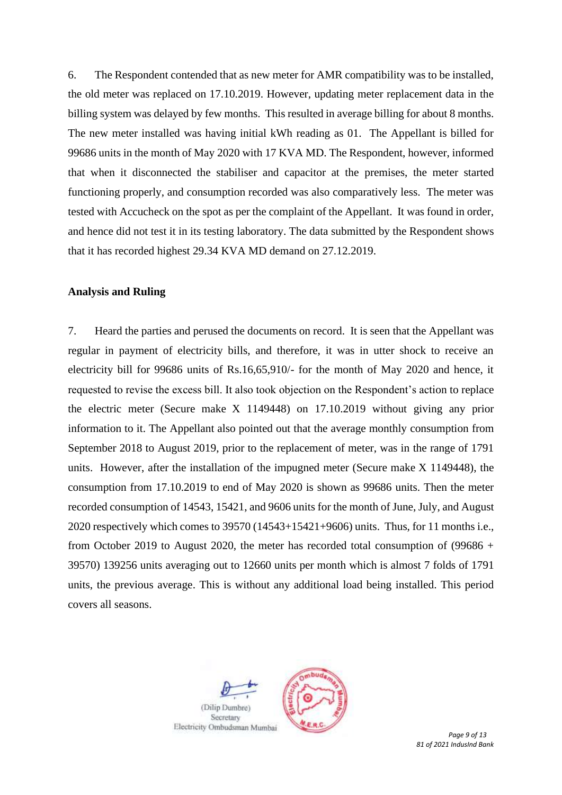6. The Respondent contended that as new meter for AMR compatibility was to be installed, the old meter was replaced on 17.10.2019. However, updating meter replacement data in the billing system was delayed by few months. This resulted in average billing for about 8 months. The new meter installed was having initial kWh reading as 01. The Appellant is billed for 99686 units in the month of May 2020 with 17 KVA MD. The Respondent, however, informed that when it disconnected the stabiliser and capacitor at the premises, the meter started functioning properly, and consumption recorded was also comparatively less. The meter was tested with Accucheck on the spot as per the complaint of the Appellant. It was found in order, and hence did not test it in its testing laboratory. The data submitted by the Respondent shows that it has recorded highest 29.34 KVA MD demand on 27.12.2019.

#### **Analysis and Ruling**

7. Heard the parties and perused the documents on record. It is seen that the Appellant was regular in payment of electricity bills, and therefore, it was in utter shock to receive an electricity bill for 99686 units of Rs.16,65,910/- for the month of May 2020 and hence, it requested to revise the excess bill. It also took objection on the Respondent's action to replace the electric meter (Secure make X 1149448) on 17.10.2019 without giving any prior information to it. The Appellant also pointed out that the average monthly consumption from September 2018 to August 2019, prior to the replacement of meter, was in the range of 1791 units. However, after the installation of the impugned meter (Secure make X 1149448), the consumption from 17.10.2019 to end of May 2020 is shown as 99686 units. Then the meter recorded consumption of 14543, 15421, and 9606 units for the month of June, July, and August 2020 respectively which comes to 39570 (14543+15421+9606) units. Thus, for 11 months i.e., from October 2019 to August 2020, the meter has recorded total consumption of (99686 + 39570) 139256 units averaging out to 12660 units per month which is almost 7 folds of 1791 units, the previous average. This is without any additional load being installed. This period covers all seasons.



*81 of 2021 IndusInd Bank*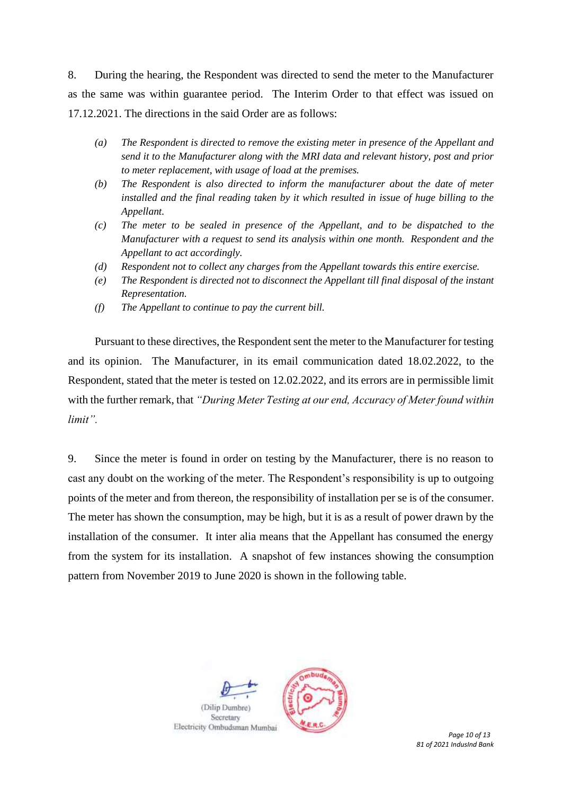8. During the hearing, the Respondent was directed to send the meter to the Manufacturer as the same was within guarantee period. The Interim Order to that effect was issued on 17.12.2021. The directions in the said Order are as follows:

- *(a) The Respondent is directed to remove the existing meter in presence of the Appellant and send it to the Manufacturer along with the MRI data and relevant history, post and prior to meter replacement, with usage of load at the premises.*
- *(b) The Respondent is also directed to inform the manufacturer about the date of meter installed and the final reading taken by it which resulted in issue of huge billing to the Appellant.*
- *(c) The meter to be sealed in presence of the Appellant, and to be dispatched to the Manufacturer with a request to send its analysis within one month. Respondent and the Appellant to act accordingly.*
- *(d) Respondent not to collect any charges from the Appellant towards this entire exercise.*
- *(e) The Respondent is directed not to disconnect the Appellant till final disposal of the instant Representation.*
- *(f) The Appellant to continue to pay the current bill.*

Pursuant to these directives, the Respondent sent the meter to the Manufacturer for testing and its opinion. The Manufacturer, in its email communication dated 18.02.2022, to the Respondent, stated that the meter is tested on 12.02.2022, and its errors are in permissible limit with the further remark, that *"During Meter Testing at our end, Accuracy of Meter found within limit".* 

9. Since the meter is found in order on testing by the Manufacturer, there is no reason to cast any doubt on the working of the meter. The Respondent's responsibility is up to outgoing points of the meter and from thereon, the responsibility of installation per se is of the consumer. The meter has shown the consumption, may be high, but it is as a result of power drawn by the installation of the consumer. It inter alia means that the Appellant has consumed the energy from the system for its installation. A snapshot of few instances showing the consumption pattern from November 2019 to June 2020 is shown in the following table.

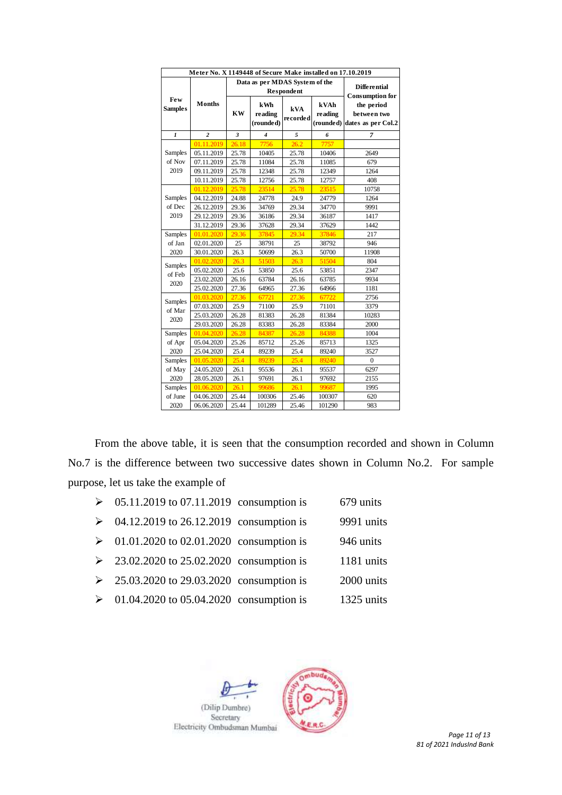| Meter No. X 1149448 of Secure Make installed on 17.10.2019 |                |                                              |                                    |                 |                 |                                                           |  |
|------------------------------------------------------------|----------------|----------------------------------------------|------------------------------------|-----------------|-----------------|-----------------------------------------------------------|--|
|                                                            |                | Data as per MDAS System of the<br>Respondent |                                    |                 |                 | Differential<br><b>Consumption for</b>                    |  |
| <b>Few</b><br><b>Samples</b>                               | Months         | <b>KW</b>                                    | kWh<br><b>reading</b><br>(rounded) | kVA<br>recorded | kVAh<br>reading | the period<br>between two<br>(rounded) dates as per Col.2 |  |
| 1                                                          | $\overline{c}$ | 3                                            | 4                                  | 5               | 6               | $\overline{7}$                                            |  |
|                                                            | 01.11.2019     | 26.18                                        | 7756                               | 26.2            | 7757            |                                                           |  |
| Samples                                                    | 05.11.2019     | 25.78                                        | 10405                              | 25.78           | 10406           | 2649                                                      |  |
| of Nov                                                     | 07.11.2019     | 25.78                                        | 11084                              | 25.78           | 11085           | 679                                                       |  |
| 2019                                                       | 09.11.2019     | 25.78                                        | 12348                              | 25.78           | 12349           | 1264                                                      |  |
|                                                            | 10.11.2019     | 25.78                                        | 12756                              | 25.78           | 12757           | 408                                                       |  |
|                                                            | 01.12.2019     | 25.78                                        | 23514                              | 25.78           | 23515           | 10758                                                     |  |
| Samples                                                    | 04.12.2019     | 24.88                                        | 24778                              | 24.9            | 24779           | 1264                                                      |  |
| of Dec                                                     | 26.12.2019     | 29.36                                        | 34769                              | 29.34           | 34770           | 9991                                                      |  |
| 2019                                                       | 29.12.2019     | 29.36                                        | 36186                              | 29.34           | 36187           | 1417                                                      |  |
|                                                            | 31.12.2019     | 29.36                                        | 37628                              | 29.34           | 37629           | 1442                                                      |  |
| Samples                                                    | 01.01.2020     | 29.36                                        | 37845                              | 29.34           | 37846           | 217                                                       |  |
| of Jan                                                     | 02.01.2020     | 25                                           | 38791                              | 25              | 38792           | 946                                                       |  |
| 2020                                                       | 30.01.2020     | 26.3                                         | 50699                              | 26.3            | 50700           | 11908                                                     |  |
| Samples                                                    | 01.02.2020     | 26.3                                         | 51503                              | 26.3            | 51504           | 804                                                       |  |
| of Feb                                                     | 05.02.2020     | 25.6                                         | 53850                              | 25.6            | 53851           | 2347                                                      |  |
| 2020                                                       | 23.02.2020     | 26.16                                        | 63784                              | 26.16           | 63785           | 9934                                                      |  |
|                                                            | 25.02.2020     | 27.36                                        | 64965                              | 27.36           | 64966           | 1181                                                      |  |
| Samples                                                    | 01.03.2020     | 27.36                                        | 67721                              | 27.36           | 67722           | 2756                                                      |  |
| of Mar                                                     | 07.03.2020     | 25.9                                         | 71100                              | 25.9            | 71101           | 3379                                                      |  |
| 2020                                                       | 25.03.2020     | 26.28                                        | 81383                              | 26.28           | 81384           | 10283                                                     |  |
|                                                            | 29.03.2020     | 26.28                                        | 83383                              | 26.28           | 83384           | 2000                                                      |  |
| <b>Samples</b>                                             | 01.04.2020     | 26.28                                        | 84387                              | 26.28           | 84388           | 1004                                                      |  |
| of Apr                                                     | 05.04.2020     | 25.26                                        | 85712                              | 25.26           | 85713           | 1325                                                      |  |
| 2020                                                       | 25.04.2020     | 25.4                                         | 89239                              | 25.4            | 89240           | 3527                                                      |  |
| Samples                                                    | 01.05.2020     | 25.4                                         | 89239                              | 25.4            | 89240           | $\mathbf{0}$                                              |  |
| of May                                                     | 24.05.2020     | 26.1                                         | 95536                              | 26.1            | 95537           | 6297                                                      |  |
| 2020                                                       | 28.05.2020     | 26.1                                         | 97691                              | 26.1            | 97692           | 2155                                                      |  |
| Samples                                                    | 01.06.2020     | 26.1                                         | 99686                              | 26.1            | 99687           | 1995                                                      |  |
| of June                                                    | 04.06.2020     | 25.44                                        | 100306                             | 25.46           | 100307          | 620                                                       |  |
| 2020                                                       | 06.06.2020     | 25.44                                        | 101289                             | 25.46           | 101290          | 983                                                       |  |

From the above table, it is seen that the consumption recorded and shown in Column No.7 is the difference between two successive dates shown in Column No.2. For sample purpose, let us take the example of

| $\geq 05.11.2019$ to 07.11.2019 consumption is           | 679 units  |
|----------------------------------------------------------|------------|
| $\geq 04.12.2019$ to 26.12.2019 consumption is           | 9991 units |
| $\geq 01.01.2020$ to 02.01.2020 consumption is           | 946 units  |
| $\geq 23.02.2020$ to 25.02.2020 consumption is           | 1181 units |
| $\geq 25.03.2020$ to 29.03.2020 consumption is           | 2000 units |
| $\triangleright$ 01.04.2020 to 05.04.2020 consumption is | 1325 units |
|                                                          |            |

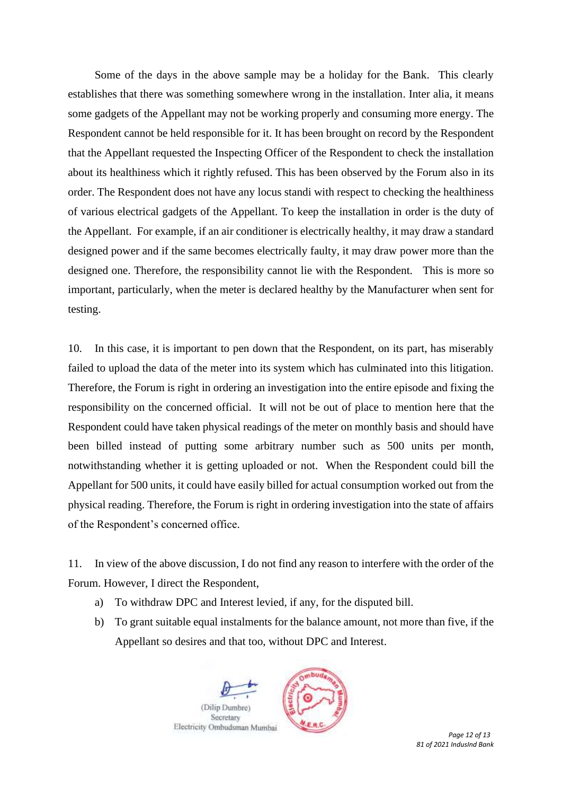Some of the days in the above sample may be a holiday for the Bank. This clearly establishes that there was something somewhere wrong in the installation. Inter alia, it means some gadgets of the Appellant may not be working properly and consuming more energy. The Respondent cannot be held responsible for it. It has been brought on record by the Respondent that the Appellant requested the Inspecting Officer of the Respondent to check the installation about its healthiness which it rightly refused. This has been observed by the Forum also in its order. The Respondent does not have any locus standi with respect to checking the healthiness of various electrical gadgets of the Appellant. To keep the installation in order is the duty of the Appellant. For example, if an air conditioner is electrically healthy, it may draw a standard designed power and if the same becomes electrically faulty, it may draw power more than the designed one. Therefore, the responsibility cannot lie with the Respondent. This is more so important, particularly, when the meter is declared healthy by the Manufacturer when sent for testing.

10. In this case, it is important to pen down that the Respondent, on its part, has miserably failed to upload the data of the meter into its system which has culminated into this litigation. Therefore, the Forum is right in ordering an investigation into the entire episode and fixing the responsibility on the concerned official. It will not be out of place to mention here that the Respondent could have taken physical readings of the meter on monthly basis and should have been billed instead of putting some arbitrary number such as 500 units per month, notwithstanding whether it is getting uploaded or not. When the Respondent could bill the Appellant for 500 units, it could have easily billed for actual consumption worked out from the physical reading. Therefore, the Forum is right in ordering investigation into the state of affairs of the Respondent's concerned office.

11. In view of the above discussion, I do not find any reason to interfere with the order of the Forum. However, I direct the Respondent,

- a) To withdraw DPC and Interest levied, if any, for the disputed bill.
- b) To grant suitable equal instalments for the balance amount, not more than five, if the Appellant so desires and that too, without DPC and Interest.